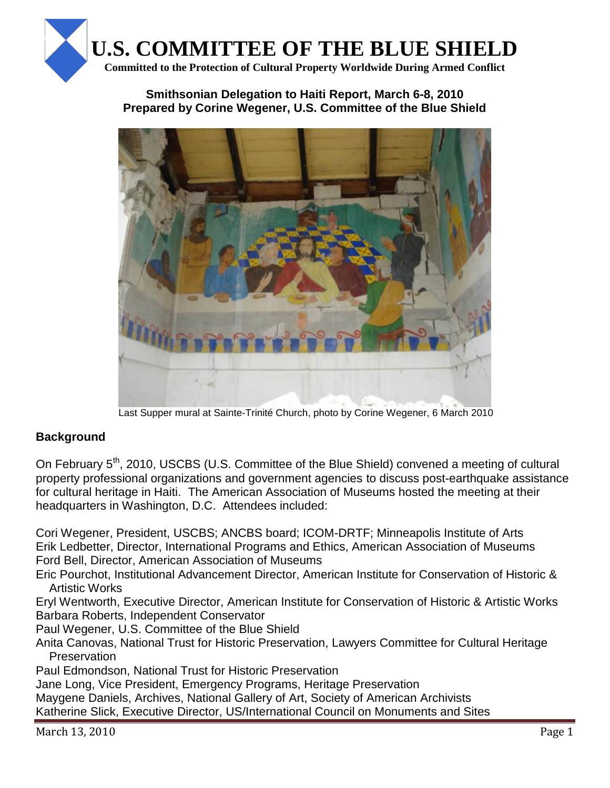

### **Smithsonian Delegation to Haiti Report, March 6-8, 2010 Prepared by Corine Wegener, U.S. Committee of the Blue Shield**



Last Supper mural at Sainte-Trinité Church, photo by Corine Wegener, 6 March 2010

## **Background**

On February 5<sup>th</sup>, 2010, USCBS (U.S. Committee of the Blue Shield) convened a meeting of cultural property professional organizations and government agencies to discuss post-earthquake assistance for cultural heritage in Haiti. The American Association of Museums hosted the meeting at their headquarters in Washington, D.C. Attendees included:

Cori Wegener, President, USCBS; ANCBS board; ICOM-DRTF; Minneapolis Institute of Arts Erik Ledbetter, Director, International Programs and Ethics, American Association of Museums Ford Bell, Director, American Association of Museums

Eric Pourchot, Institutional Advancement Director, American Institute for Conservation of Historic & Artistic Works

Eryl Wentworth, Executive Director, American Institute for Conservation of Historic & Artistic Works Barbara Roberts, Independent Conservator

Paul Wegener, U.S. Committee of the Blue Shield

Anita Canovas, National Trust for Historic Preservation, Lawyers Committee for Cultural Heritage **Preservation** 

Paul Edmondson, National Trust for Historic Preservation

Jane Long, Vice President, Emergency Programs, Heritage Preservation

Maygene Daniels, Archives, National Gallery of Art, Society of American Archivists

Katherine Slick, Executive Director, US/International Council on Monuments and Sites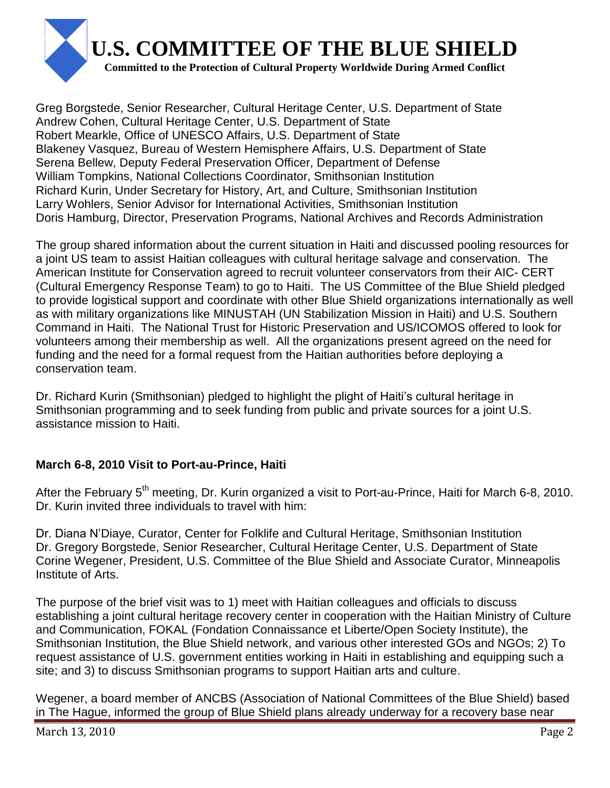

Greg Borgstede, Senior Researcher, Cultural Heritage Center, U.S. Department of State Andrew Cohen, Cultural Heritage Center, U.S. Department of State Robert Mearkle, Office of UNESCO Affairs, U.S. Department of State Blakeney Vasquez, Bureau of Western Hemisphere Affairs, U.S. Department of State Serena Bellew, Deputy Federal Preservation Officer, Department of Defense William Tompkins, National Collections Coordinator, Smithsonian Institution Richard Kurin, Under Secretary for History, Art, and Culture, Smithsonian Institution Larry Wohlers, Senior Advisor for International Activities, Smithsonian Institution Doris Hamburg, Director, Preservation Programs, National Archives and Records Administration

The group shared information about the current situation in Haiti and discussed pooling resources for a joint US team to assist Haitian colleagues with cultural heritage salvage and conservation. The American Institute for Conservation agreed to recruit volunteer conservators from their AIC- CERT (Cultural Emergency Response Team) to go to Haiti. The US Committee of the Blue Shield pledged to provide logistical support and coordinate with other Blue Shield organizations internationally as well as with military organizations like MINUSTAH (UN Stabilization Mission in Haiti) and U.S. Southern Command in Haiti. The National Trust for Historic Preservation and US/ICOMOS offered to look for volunteers among their membership as well. All the organizations present agreed on the need for funding and the need for a formal request from the Haitian authorities before deploying a conservation team.

Dr. Richard Kurin (Smithsonian) pledged to highlight the plight of Haiti"s cultural heritage in Smithsonian programming and to seek funding from public and private sources for a joint U.S. assistance mission to Haiti.

## **March 6-8, 2010 Visit to Port-au-Prince, Haiti**

After the February 5<sup>th</sup> meeting, Dr. Kurin organized a visit to Port-au-Prince, Haiti for March 6-8, 2010. Dr. Kurin invited three individuals to travel with him:

Dr. Diana N"Diaye, Curator, Center for Folklife and Cultural Heritage, Smithsonian Institution Dr. Gregory Borgstede, Senior Researcher, Cultural Heritage Center, U.S. Department of State Corine Wegener, President, U.S. Committee of the Blue Shield and Associate Curator, Minneapolis Institute of Arts.

The purpose of the brief visit was to 1) meet with Haitian colleagues and officials to discuss establishing a joint cultural heritage recovery center in cooperation with the Haitian Ministry of Culture and Communication, FOKAL (Fondation Connaissance et Liberte/Open Society Institute), the Smithsonian Institution, the Blue Shield network, and various other interested GOs and NGOs; 2) To request assistance of U.S. government entities working in Haiti in establishing and equipping such a site; and 3) to discuss Smithsonian programs to support Haitian arts and culture.

Wegener, a board member of ANCBS (Association of National Committees of the Blue Shield) based in The Hague, informed the group of Blue Shield plans already underway for a recovery base near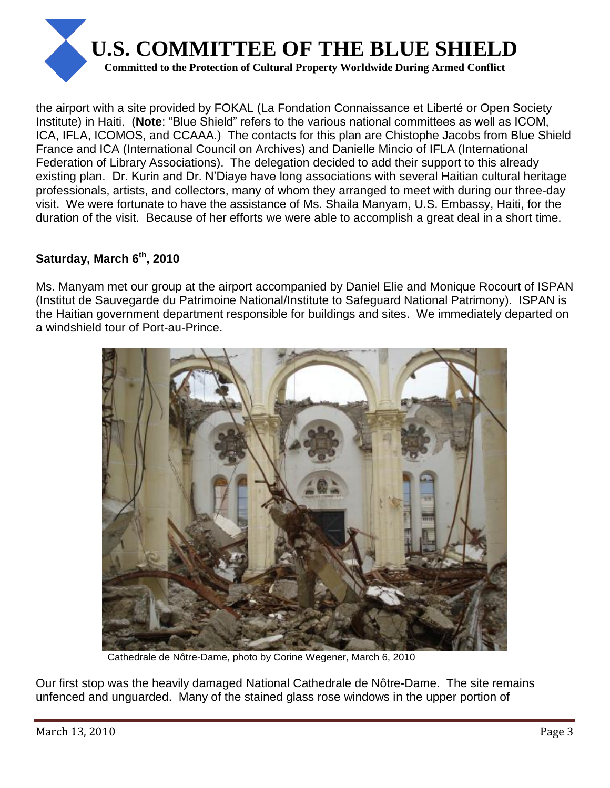

the airport with a site provided by FOKAL (La Fondation Connaissance et Liberté or Open Society Institute) in Haiti. (**Note**: "Blue Shield" refers to the various national committees as well as ICOM, ICA, IFLA, ICOMOS, and CCAAA.) The contacts for this plan are Chistophe Jacobs from Blue Shield France and ICA (International Council on Archives) and Danielle Mincio of IFLA (International Federation of Library Associations). The delegation decided to add their support to this already existing plan. Dr. Kurin and Dr. N"Diaye have long associations with several Haitian cultural heritage professionals, artists, and collectors, many of whom they arranged to meet with during our three-day visit. We were fortunate to have the assistance of Ms. Shaila Manyam, U.S. Embassy, Haiti, for the duration of the visit. Because of her efforts we were able to accomplish a great deal in a short time.

# **Saturday, March 6th, 2010**

Ms. Manyam met our group at the airport accompanied by Daniel Elie and Monique Rocourt of ISPAN (Institut de Sauvegarde du Patrimoine National/Institute to Safeguard National Patrimony). ISPAN is the Haitian government department responsible for buildings and sites. We immediately departed on a windshield tour of Port-au-Prince.



Cathedrale de Nôtre-Dame, photo by Corine Wegener, March 6, 2010

Our first stop was the heavily damaged National Cathedrale de Nôtre-Dame. The site remains unfenced and unguarded. Many of the stained glass rose windows in the upper portion of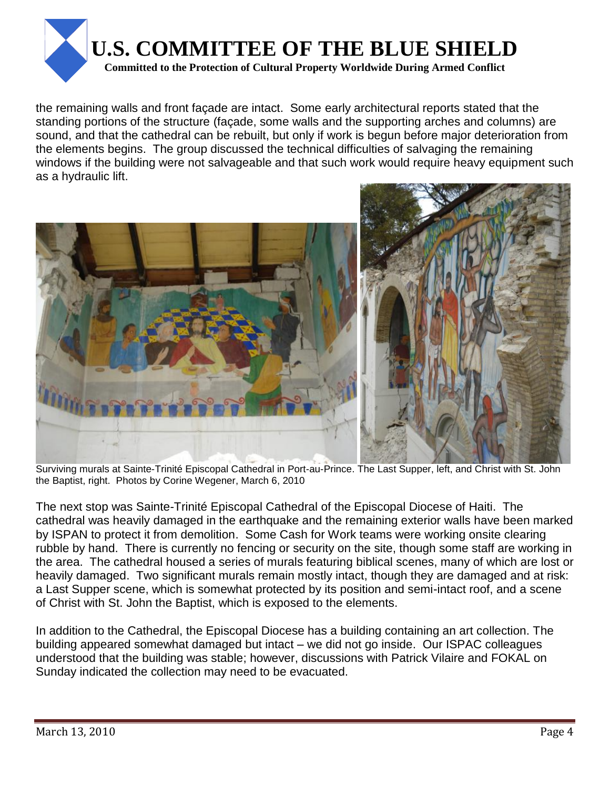

the remaining walls and front façade are intact. Some early architectural reports stated that the standing portions of the structure (façade, some walls and the supporting arches and columns) are sound, and that the cathedral can be rebuilt, but only if work is begun before major deterioration from the elements begins. The group discussed the technical difficulties of salvaging the remaining windows if the building were not salvageable and that such work would require heavy equipment such as a hydraulic lift.



Surviving murals at Sainte-Trinité Episcopal Cathedral in Port-au-Prince. The Last Supper, left, and Christ with St. John the Baptist, right. Photos by Corine Wegener, March 6, 2010

The next stop was Sainte-Trinité Episcopal Cathedral of the Episcopal Diocese of Haiti. The cathedral was heavily damaged in the earthquake and the remaining exterior walls have been marked by ISPAN to protect it from demolition. Some Cash for Work teams were working onsite clearing rubble by hand. There is currently no fencing or security on the site, though some staff are working in the area. The cathedral housed a series of murals featuring biblical scenes, many of which are lost or heavily damaged. Two significant murals remain mostly intact, though they are damaged and at risk: a Last Supper scene, which is somewhat protected by its position and semi-intact roof, and a scene of Christ with St. John the Baptist, which is exposed to the elements.

In addition to the Cathedral, the Episcopal Diocese has a building containing an art collection. The building appeared somewhat damaged but intact – we did not go inside. Our ISPAC colleagues understood that the building was stable; however, discussions with Patrick Vilaire and FOKAL on Sunday indicated the collection may need to be evacuated.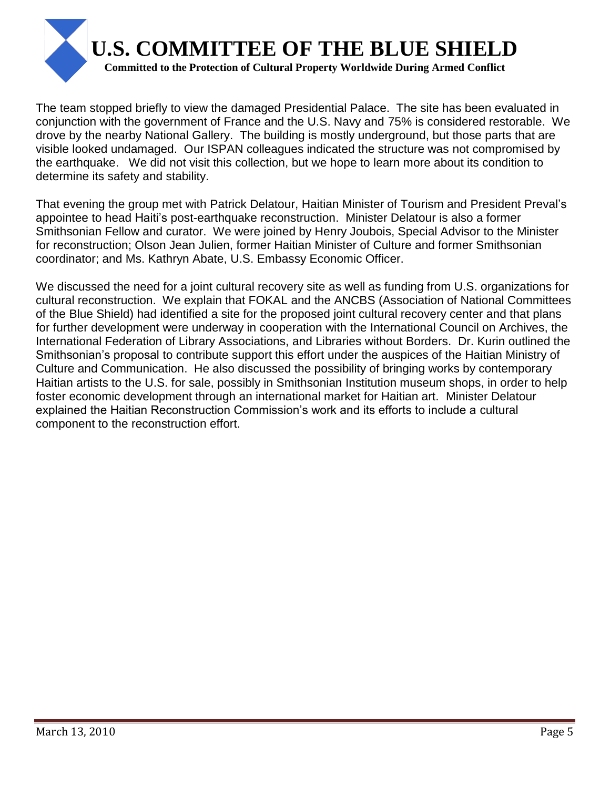

The team stopped briefly to view the damaged Presidential Palace. The site has been evaluated in conjunction with the government of France and the U.S. Navy and 75% is considered restorable. We drove by the nearby National Gallery. The building is mostly underground, but those parts that are visible looked undamaged. Our ISPAN colleagues indicated the structure was not compromised by the earthquake. We did not visit this collection, but we hope to learn more about its condition to determine its safety and stability.

That evening the group met with Patrick Delatour, Haitian Minister of Tourism and President Preval"s appointee to head Haiti"s post-earthquake reconstruction. Minister Delatour is also a former Smithsonian Fellow and curator. We were joined by Henry Joubois, Special Advisor to the Minister for reconstruction; Olson Jean Julien, former Haitian Minister of Culture and former Smithsonian coordinator; and Ms. Kathryn Abate, U.S. Embassy Economic Officer.

We discussed the need for a joint cultural recovery site as well as funding from U.S. organizations for cultural reconstruction. We explain that FOKAL and the ANCBS (Association of National Committees of the Blue Shield) had identified a site for the proposed joint cultural recovery center and that plans for further development were underway in cooperation with the International Council on Archives, the International Federation of Library Associations, and Libraries without Borders. Dr. Kurin outlined the Smithsonian's proposal to contribute support this effort under the auspices of the Haitian Ministry of Culture and Communication. He also discussed the possibility of bringing works by contemporary Haitian artists to the U.S. for sale, possibly in Smithsonian Institution museum shops, in order to help foster economic development through an international market for Haitian art. Minister Delatour explained the Haitian Reconstruction Commission"s work and its efforts to include a cultural component to the reconstruction effort.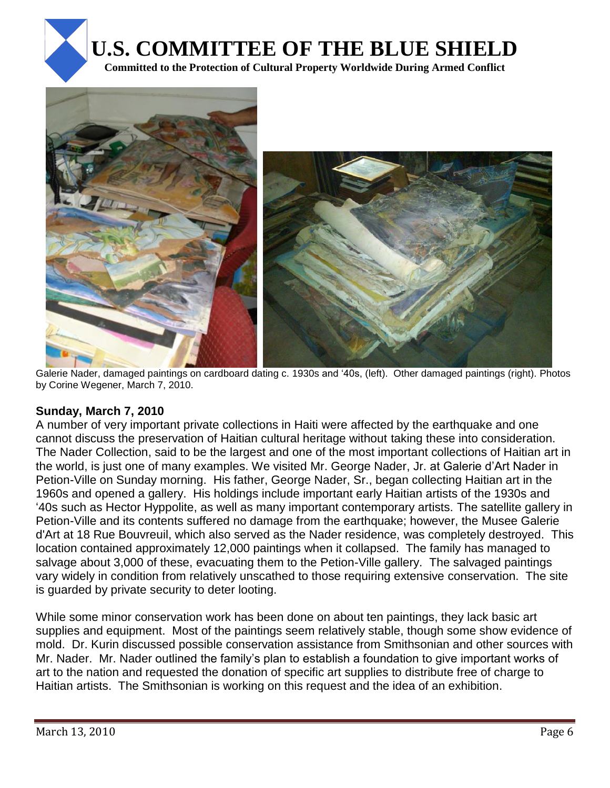





 $\overline{a}$ Galerie Nader, damaged paintings on cardboard dating c. 1930s and "40s, (left). Other damaged paintings (right). Photos by Corine Wegener, March 7, 2010.

### **Sunday, March 7, 2010**

A number of very important private collections in Haiti were affected by the earthquake and one cannot discuss the preservation of Haitian cultural heritage without taking these into consideration. The Nader Collection, said to be the largest and one of the most important collections of Haitian art in the world, is just one of many examples. We visited Mr. George Nader, Jr. at Galerie d"Art Nader in Petion-Ville on Sunday morning. His father, George Nader, Sr., began collecting Haitian art in the 1960s and opened a gallery. His holdings include important early Haitian artists of the 1930s and "40s such as Hector Hyppolite, as well as many important contemporary artists. The satellite gallery in Petion-Ville and its contents suffered no damage from the earthquake; however, the Musee Galerie d'Art at 18 Rue Bouvreuil, which also served as the Nader residence, was completely destroyed. This location contained approximately 12,000 paintings when it collapsed. The family has managed to salvage about 3,000 of these, evacuating them to the Petion-Ville gallery. The salvaged paintings vary widely in condition from relatively unscathed to those requiring extensive conservation. The site is guarded by private security to deter looting.

While some minor conservation work has been done on about ten paintings, they lack basic art supplies and equipment. Most of the paintings seem relatively stable, though some show evidence of mold. Dr. Kurin discussed possible conservation assistance from Smithsonian and other sources with Mr. Nader. Mr. Nader outlined the family"s plan to establish a foundation to give important works of art to the nation and requested the donation of specific art supplies to distribute free of charge to Haitian artists. The Smithsonian is working on this request and the idea of an exhibition.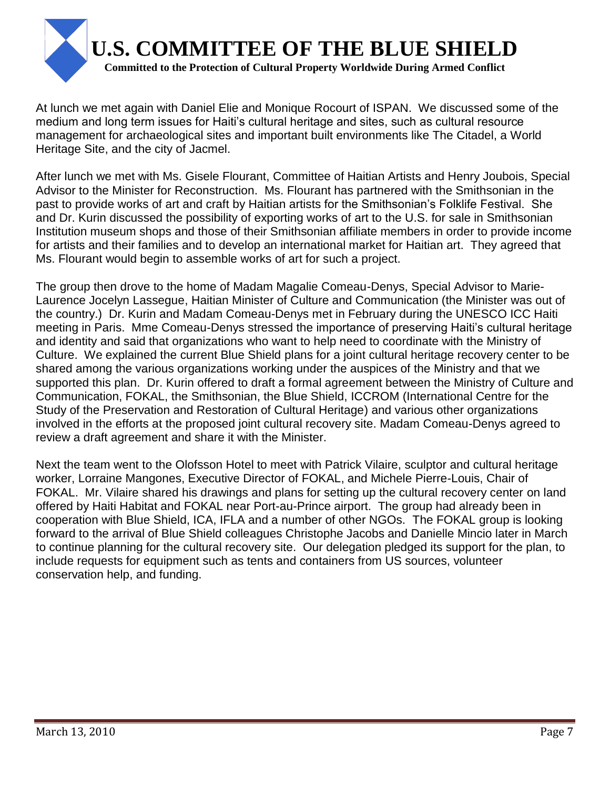

At lunch we met again with Daniel Elie and Monique Rocourt of ISPAN. We discussed some of the medium and long term issues for Haiti"s cultural heritage and sites, such as cultural resource management for archaeological sites and important built environments like The Citadel, a World Heritage Site, and the city of Jacmel.

After lunch we met with Ms. Gisele Flourant, Committee of Haitian Artists and Henry Joubois, Special Advisor to the Minister for Reconstruction. Ms. Flourant has partnered with the Smithsonian in the past to provide works of art and craft by Haitian artists for the Smithsonian"s Folklife Festival. She and Dr. Kurin discussed the possibility of exporting works of art to the U.S. for sale in Smithsonian Institution museum shops and those of their Smithsonian affiliate members in order to provide income for artists and their families and to develop an international market for Haitian art. They agreed that Ms. Flourant would begin to assemble works of art for such a project.

The group then drove to the home of Madam Magalie Comeau-Denys, Special Advisor to Marie-Laurence Jocelyn Lassegue, Haitian Minister of Culture and Communication (the Minister was out of the country.) Dr. Kurin and Madam Comeau-Denys met in February during the UNESCO ICC Haiti meeting in Paris. Mme Comeau-Denys stressed the importance of preserving Haiti"s cultural heritage and identity and said that organizations who want to help need to coordinate with the Ministry of Culture. We explained the current Blue Shield plans for a joint cultural heritage recovery center to be shared among the various organizations working under the auspices of the Ministry and that we supported this plan. Dr. Kurin offered to draft a formal agreement between the Ministry of Culture and Communication, FOKAL, the Smithsonian, the Blue Shield, ICCROM (International Centre for the Study of the Preservation and Restoration of Cultural Heritage) and various other organizations involved in the efforts at the proposed joint cultural recovery site. Madam Comeau-Denys agreed to review a draft agreement and share it with the Minister.

Next the team went to the Olofsson Hotel to meet with Patrick Vilaire, sculptor and cultural heritage worker, Lorraine Mangones, Executive Director of FOKAL, and Michele Pierre-Louis, Chair of FOKAL. Mr. Vilaire shared his drawings and plans for setting up the cultural recovery center on land offered by Haiti Habitat and FOKAL near Port-au-Prince airport. The group had already been in cooperation with Blue Shield, ICA, IFLA and a number of other NGOs. The FOKAL group is looking forward to the arrival of Blue Shield colleagues Christophe Jacobs and Danielle Mincio later in March to continue planning for the cultural recovery site. Our delegation pledged its support for the plan, to include requests for equipment such as tents and containers from US sources, volunteer conservation help, and funding.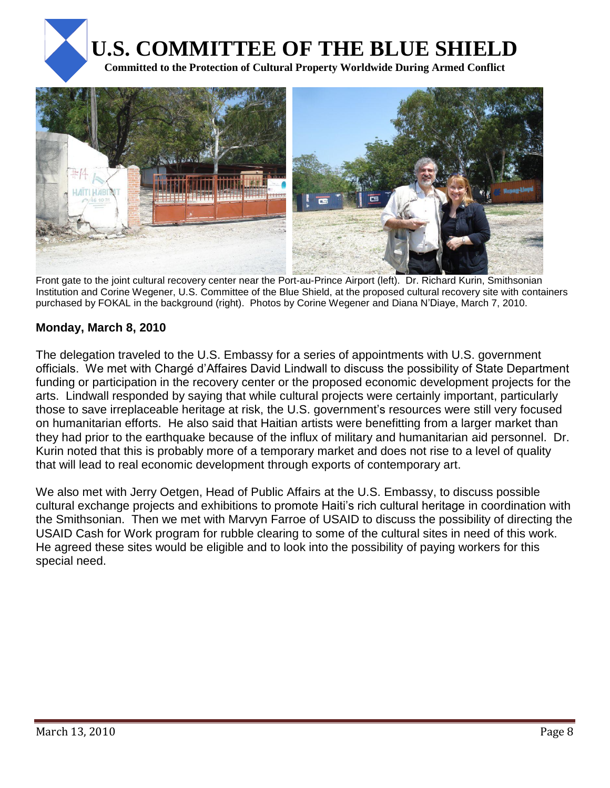



Front gate to the joint cultural recovery center near the Port-au-Prince Airport (left). Dr. Richard Kurin, Smithsonian Institution and Corine Wegener, U.S. Committee of the Blue Shield, at the proposed cultural recovery site with containers purchased by FOKAL in the background (right). Photos by Corine Wegener and Diana N"Diaye, March 7, 2010.

## **Monday, March 8, 2010**

The delegation traveled to the U.S. Embassy for a series of appointments with U.S. government officials. We met with Chargé d"Affaires David Lindwall to discuss the possibility of State Department funding or participation in the recovery center or the proposed economic development projects for the arts. Lindwall responded by saying that while cultural projects were certainly important, particularly those to save irreplaceable heritage at risk, the U.S. government"s resources were still very focused on humanitarian efforts. He also said that Haitian artists were benefitting from a larger market than they had prior to the earthquake because of the influx of military and humanitarian aid personnel. Dr. Kurin noted that this is probably more of a temporary market and does not rise to a level of quality that will lead to real economic development through exports of contemporary art.

We also met with Jerry Oetgen, Head of Public Affairs at the U.S. Embassy, to discuss possible cultural exchange projects and exhibitions to promote Haiti"s rich cultural heritage in coordination with the Smithsonian. Then we met with Marvyn Farroe of USAID to discuss the possibility of directing the USAID Cash for Work program for rubble clearing to some of the cultural sites in need of this work. He agreed these sites would be eligible and to look into the possibility of paying workers for this special need.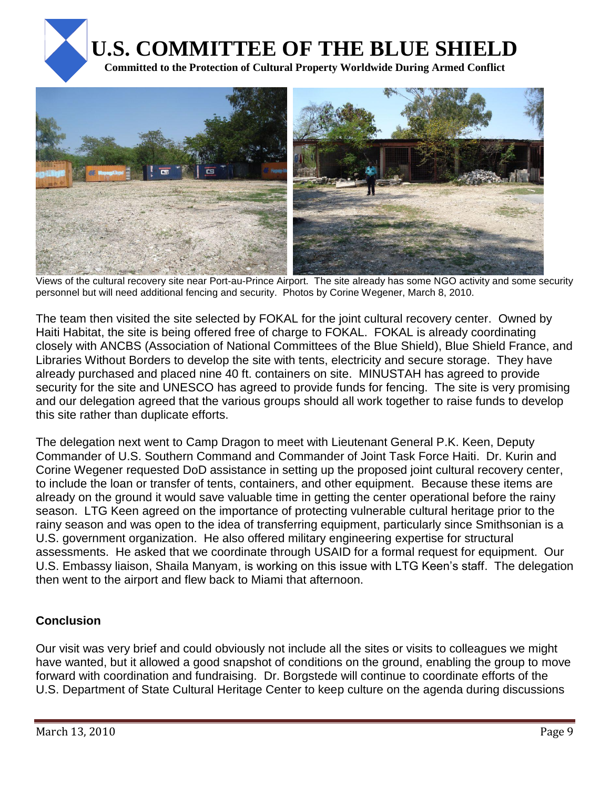



Views of the cultural recovery site near Port-au-Prince Airport. The site already has some NGO activity and some security personnel but will need additional fencing and security. Photos by Corine Wegener, March 8, 2010.

The team then visited the site selected by FOKAL for the joint cultural recovery center. Owned by Haiti Habitat, the site is being offered free of charge to FOKAL. FOKAL is already coordinating closely with ANCBS (Association of National Committees of the Blue Shield), Blue Shield France, and Libraries Without Borders to develop the site with tents, electricity and secure storage. They have already purchased and placed nine 40 ft. containers on site. MINUSTAH has agreed to provide security for the site and UNESCO has agreed to provide funds for fencing. The site is very promising and our delegation agreed that the various groups should all work together to raise funds to develop this site rather than duplicate efforts.

The delegation next went to Camp Dragon to meet with Lieutenant General P.K. Keen, Deputy Commander of U.S. Southern Command and Commander of Joint Task Force Haiti. Dr. Kurin and Corine Wegener requested DoD assistance in setting up the proposed joint cultural recovery center, to include the loan or transfer of tents, containers, and other equipment. Because these items are already on the ground it would save valuable time in getting the center operational before the rainy season. LTG Keen agreed on the importance of protecting vulnerable cultural heritage prior to the rainy season and was open to the idea of transferring equipment, particularly since Smithsonian is a U.S. government organization. He also offered military engineering expertise for structural assessments. He asked that we coordinate through USAID for a formal request for equipment. Our U.S. Embassy liaison, Shaila Manyam, is working on this issue with LTG Keen"s staff. The delegation then went to the airport and flew back to Miami that afternoon.

## **Conclusion**

Our visit was very brief and could obviously not include all the sites or visits to colleagues we might have wanted, but it allowed a good snapshot of conditions on the ground, enabling the group to move forward with coordination and fundraising. Dr. Borgstede will continue to coordinate efforts of the U.S. Department of State Cultural Heritage Center to keep culture on the agenda during discussions